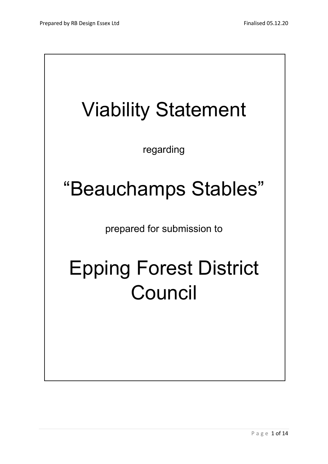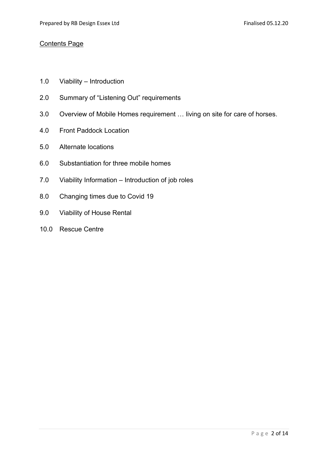### Contents Page

- 1.0 Viability Introduction
- 2.0 Summary of "Listening Out" requirements
- 3.0 Overview of Mobile Homes requirement … living on site for care of horses.
- 4.0 Front Paddock Location
- 5.0 Alternate locations
- 6.0 Substantiation for three mobile homes
- 7.0 Viability Information Introduction of job roles
- 8.0 Changing times due to Covid 19
- 9.0 Viability of House Rental
- 10.0 Rescue Centre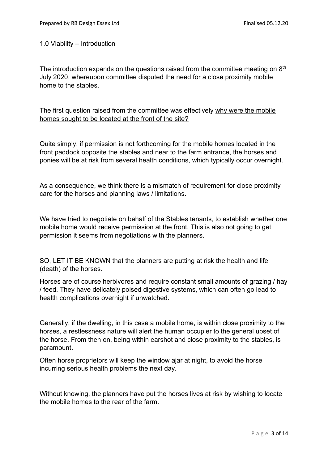### 1.0 Viability – Introduction

The introduction expands on the questions raised from the committee meeting on  $8<sup>th</sup>$ July 2020, whereupon committee disputed the need for a close proximity mobile home to the stables.

The first question raised from the committee was effectively why were the mobile homes sought to be located at the front of the site?

Quite simply, if permission is not forthcoming for the mobile homes located in the front paddock opposite the stables and near to the farm entrance, the horses and ponies will be at risk from several health conditions, which typically occur overnight.

As a consequence, we think there is a mismatch of requirement for close proximity care for the horses and planning laws / limitations.

We have tried to negotiate on behalf of the Stables tenants, to establish whether one mobile home would receive permission at the front. This is also not going to get permission it seems from negotiations with the planners.

SO, LET IT BE KNOWN that the planners are putting at risk the health and life (death) of the horses.

Horses are of course herbivores and require constant small amounts of grazing / hay / feed. They have delicately poised digestive systems, which can often go lead to health complications overnight if unwatched.

Generally, if the dwelling, in this case a mobile home, is within close proximity to the horses, a restlessness nature will alert the human occupier to the general upset of the horse. From then on, being within earshot and close proximity to the stables, is paramount.

Often horse proprietors will keep the window ajar at night, to avoid the horse incurring serious health problems the next day.

Without knowing, the planners have put the horses lives at risk by wishing to locate the mobile homes to the rear of the farm.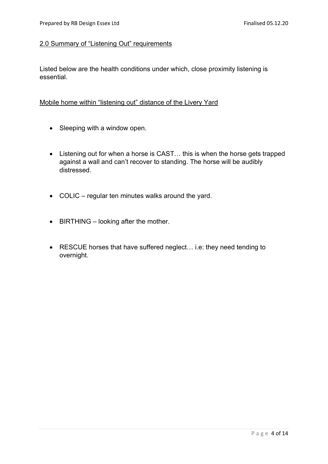### 2.0 Summary of "Listening Out" requirements

Listed below are the health conditions under which, close proximity listening is essential.

### Mobile home within "listening out" distance of the Livery Yard

- Sleeping with a window open.
- Listening out for when a horse is CAST... this is when the horse gets trapped against a wall and can't recover to standing. The horse will be audibly distressed.
- COLIC regular ten minutes walks around the yard.
- BIRTHING looking after the mother.
- RESCUE horses that have suffered neglect… i.e: they need tending to overnight.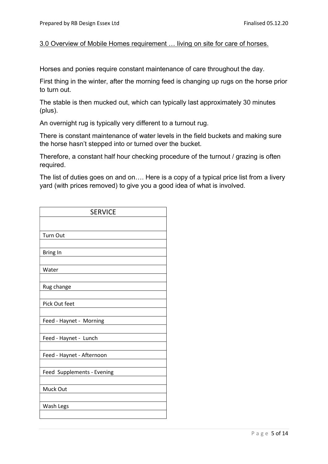# 3.0 Overview of Mobile Homes requirement … living on site for care of horses.

Horses and ponies require constant maintenance of care throughout the day.

First thing in the winter, after the morning feed is changing up rugs on the horse prior to turn out.

The stable is then mucked out, which can typically last approximately 30 minutes (plus).

An overnight rug is typically very different to a turnout rug.

There is constant maintenance of water levels in the field buckets and making sure the horse hasn't stepped into or turned over the bucket.

Therefore, a constant half hour checking procedure of the turnout / grazing is often required.

The list of duties goes on and on…. Here is a copy of a typical price list from a livery yard (with prices removed) to give you a good idea of what is involved.

| <b>SERVICE</b>             |
|----------------------------|
|                            |
| <b>Turn Out</b>            |
|                            |
| Bring In                   |
|                            |
| Water                      |
|                            |
| Rug change                 |
| Pick Out feet              |
| Feed - Haynet - Morning    |
|                            |
| Feed - Haynet - Lunch      |
|                            |
| Feed - Haynet - Afternoon  |
| Feed Supplements - Evening |
| Muck Out                   |
| Wash Legs                  |
|                            |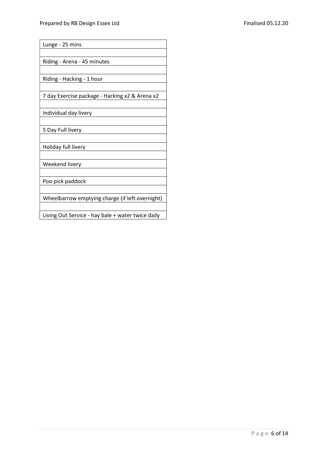Lunge - 25 mins

Riding - Arena - 45 minutes

Riding - Hacking - 1 hour

7 day Exercise package - Hacking x2 & Arena x2

Individual day livery

5 Day Full livery

Holiday full livery

Weekend livery

Poo pick paddock

Wheelbarrow emptying charge (if left overnight)

Living Out Service - hay bale + water twice daily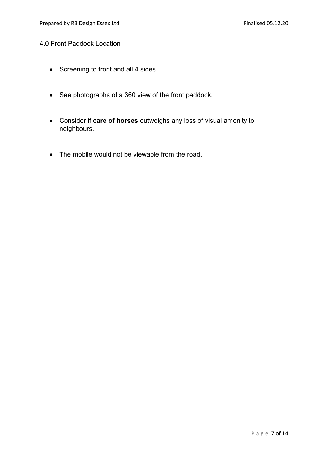## 4.0 Front Paddock Location

- Screening to front and all 4 sides.
- See photographs of a 360 view of the front paddock.
- Consider if **care of horses** outweighs any loss of visual amenity to neighbours.
- The mobile would not be viewable from the road.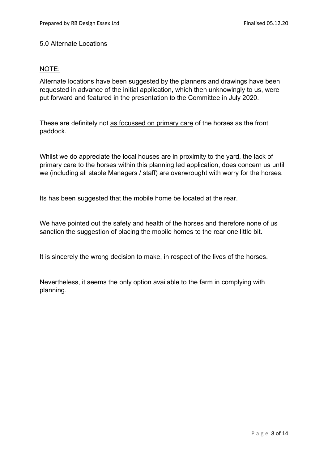# 5.0 Alternate Locations

## NOTE:

Alternate locations have been suggested by the planners and drawings have been requested in advance of the initial application, which then unknowingly to us, were put forward and featured in the presentation to the Committee in July 2020.

These are definitely not as focussed on primary care of the horses as the front paddock.

Whilst we do appreciate the local houses are in proximity to the yard, the lack of primary care to the horses within this planning led application, does concern us until we (including all stable Managers / staff) are overwrought with worry for the horses.

Its has been suggested that the mobile home be located at the rear.

We have pointed out the safety and health of the horses and therefore none of us sanction the suggestion of placing the mobile homes to the rear one little bit.

It is sincerely the wrong decision to make, in respect of the lives of the horses.

Nevertheless, it seems the only option available to the farm in complying with planning.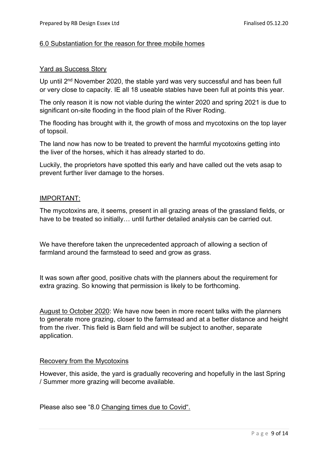### 6.0 Substantiation for the reason for three mobile homes

### Yard as Success Story

Up until 2<sup>nd</sup> November 2020, the stable yard was very successful and has been full or very close to capacity. IE all 18 useable stables have been full at points this year.

The only reason it is now not viable during the winter 2020 and spring 2021 is due to significant on-site flooding in the flood plain of the River Roding.

The flooding has brought with it, the growth of moss and mycotoxins on the top layer of topsoil.

The land now has now to be treated to prevent the harmful mycotoxins getting into the liver of the horses, which it has already started to do.

Luckily, the proprietors have spotted this early and have called out the vets asap to prevent further liver damage to the horses.

### IMPORTANT:

The mycotoxins are, it seems, present in all grazing areas of the grassland fields, or have to be treated so initially… until further detailed analysis can be carried out.

We have therefore taken the unprecedented approach of allowing a section of farmland around the farmstead to seed and grow as grass.

It was sown after good, positive chats with the planners about the requirement for extra grazing. So knowing that permission is likely to be forthcoming.

August to October 2020: We have now been in more recent talks with the planners to generate more grazing, closer to the farmstead and at a better distance and height from the river. This field is Barn field and will be subject to another, separate application.

#### Recovery from the Mycotoxins

However, this aside, the yard is gradually recovering and hopefully in the last Spring / Summer more grazing will become available.

Please also see "8.0 Changing times due to Covid".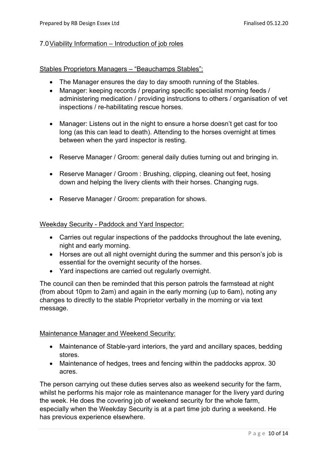## 7.0 Viability Information – Introduction of job roles

### Stables Proprietors Managers – "Beauchamps Stables":

- The Manager ensures the day to day smooth running of the Stables.
- Manager: keeping records / preparing specific specialist morning feeds / administering medication / providing instructions to others / organisation of vet inspections / re-habilitating rescue horses.
- Manager: Listens out in the night to ensure a horse doesn't get cast for too long (as this can lead to death). Attending to the horses overnight at times between when the yard inspector is resting.
- Reserve Manager / Groom: general daily duties turning out and bringing in.
- Reserve Manager / Groom : Brushing, clipping, cleaning out feet, hosing down and helping the livery clients with their horses. Changing rugs.
- Reserve Manager / Groom: preparation for shows.

### Weekday Security - Paddock and Yard Inspector:

- Carries out regular inspections of the paddocks throughout the late evening, night and early morning.
- Horses are out all night overnight during the summer and this person's job is essential for the overnight security of the horses.
- Yard inspections are carried out regularly overnight.

The council can then be reminded that this person patrols the farmstead at night (from about 10pm to 2am) and again in the early morning (up to 6am), noting any changes to directly to the stable Proprietor verbally in the morning or via text message.

#### Maintenance Manager and Weekend Security:

- Maintenance of Stable-yard interiors, the yard and ancillary spaces, bedding stores.
- Maintenance of hedges, trees and fencing within the paddocks approx. 30 acres.

The person carrying out these duties serves also as weekend security for the farm, whilst he performs his major role as maintenance manager for the livery yard during the week. He does the covering job of weekend security for the whole farm, especially when the Weekday Security is at a part time job during a weekend. He has previous experience elsewhere.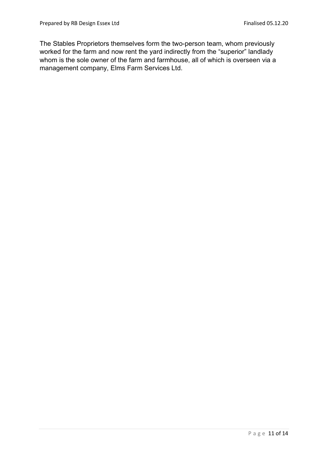The Stables Proprietors themselves form the two-person team, whom previously worked for the farm and now rent the yard indirectly from the "superior" landlady whom is the sole owner of the farm and farmhouse, all of which is overseen via a management company, Elms Farm Services Ltd.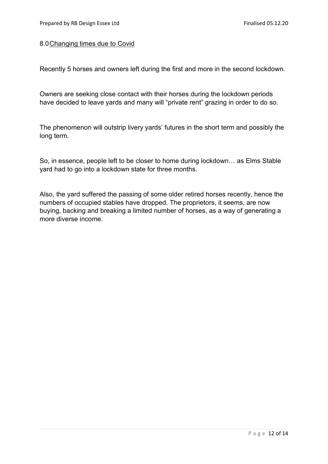### 8.0 Changing times due to Covid

Recently 5 horses and owners left during the first and more in the second lockdown.

Owners are seeking close contact with their horses during the lockdown periods have decided to leave yards and many will "private rent" grazing in order to do so.

The phenomenon will outstrip livery yards' futures in the short term and possibly the long term.

So, in essence, people left to be closer to home during lockdown… as Elms Stable yard had to go into a lockdown state for three months.

Also, the yard suffered the passing of some older retired horses recently, hence the numbers of occupied stables have dropped. The proprietors, it seems, are now buying, backing and breaking a limited number of horses, as a way of generating a more diverse income.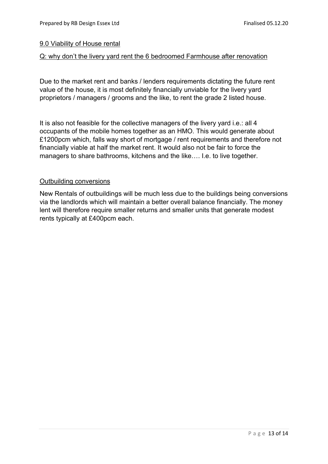## 9.0 Viability of House rental

## Q: why don't the livery yard rent the 6 bedroomed Farmhouse after renovation

Due to the market rent and banks / lenders requirements dictating the future rent value of the house, it is most definitely financially unviable for the livery yard proprietors / managers / grooms and the like, to rent the grade 2 listed house.

It is also not feasible for the collective managers of the livery yard i.e.: all 4 occupants of the mobile homes together as an HMO. This would generate about £1200pcm which, falls way short of mortgage / rent requirements and therefore not financially viable at half the market rent. It would also not be fair to force the managers to share bathrooms, kitchens and the like…. I.e. to live together.

## Outbuilding conversions

New Rentals of outbuildings will be much less due to the buildings being conversions via the landlords which will maintain a better overall balance financially. The money lent will therefore require smaller returns and smaller units that generate modest rents typically at £400pcm each.